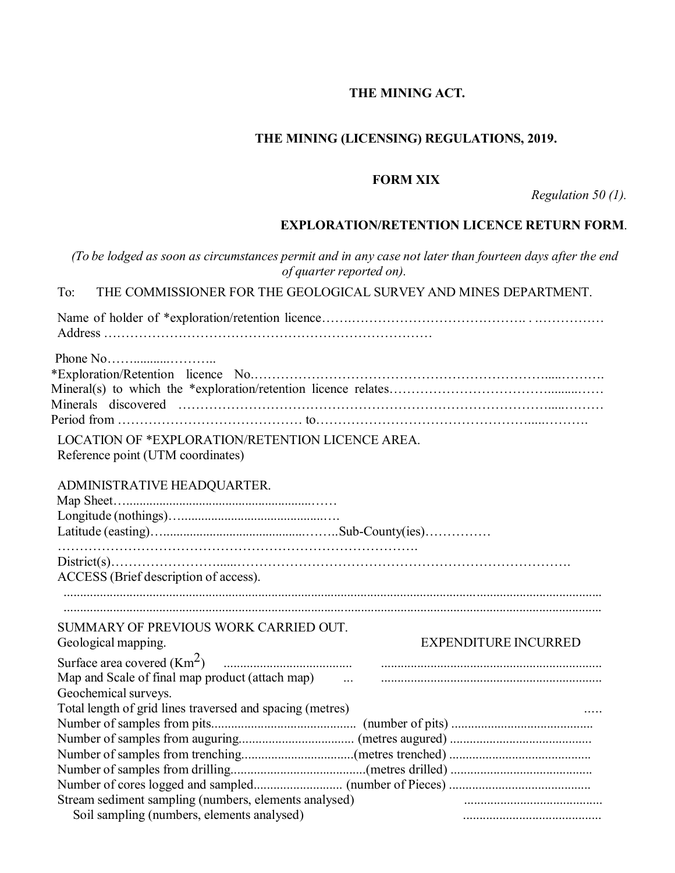# **THE MINING ACT.**

## **THE MINING (LICENSING) REGULATIONS, 2019.**

#### **FORM XIX**

*Regulation 50 (1).*

## **EXPLORATION/RETENTION LICENCE RETURN FORM**.

|                                                                                                                                      | (To be lodged as soon as circumstances permit and in any case not later than fourteen days after the end<br>of quarter reported on). |
|--------------------------------------------------------------------------------------------------------------------------------------|--------------------------------------------------------------------------------------------------------------------------------------|
| To:                                                                                                                                  | THE COMMISSIONER FOR THE GEOLOGICAL SURVEY AND MINES DEPARTMENT.                                                                     |
|                                                                                                                                      |                                                                                                                                      |
|                                                                                                                                      |                                                                                                                                      |
| LOCATION OF *EXPLORATION/RETENTION LICENCE AREA.<br>Reference point (UTM coordinates)                                                |                                                                                                                                      |
| ADMINISTRATIVE HEADQUARTER.                                                                                                          |                                                                                                                                      |
| ACCESS (Brief description of access).                                                                                                |                                                                                                                                      |
| SUMMARY OF PREVIOUS WORK CARRIED OUT.<br>Geological mapping.                                                                         | <b>EXPENDITURE INCURRED</b>                                                                                                          |
| Map and Scale of final map product (attach map)<br>Geochemical surveys.<br>Total length of grid lines traversed and spacing (metres) | $\ldots$                                                                                                                             |
|                                                                                                                                      |                                                                                                                                      |
|                                                                                                                                      |                                                                                                                                      |
|                                                                                                                                      |                                                                                                                                      |
|                                                                                                                                      |                                                                                                                                      |
| Stream sediment sampling (numbers, elements analysed)                                                                                |                                                                                                                                      |
| Soil sampling (numbers, elements analysed)                                                                                           |                                                                                                                                      |
|                                                                                                                                      |                                                                                                                                      |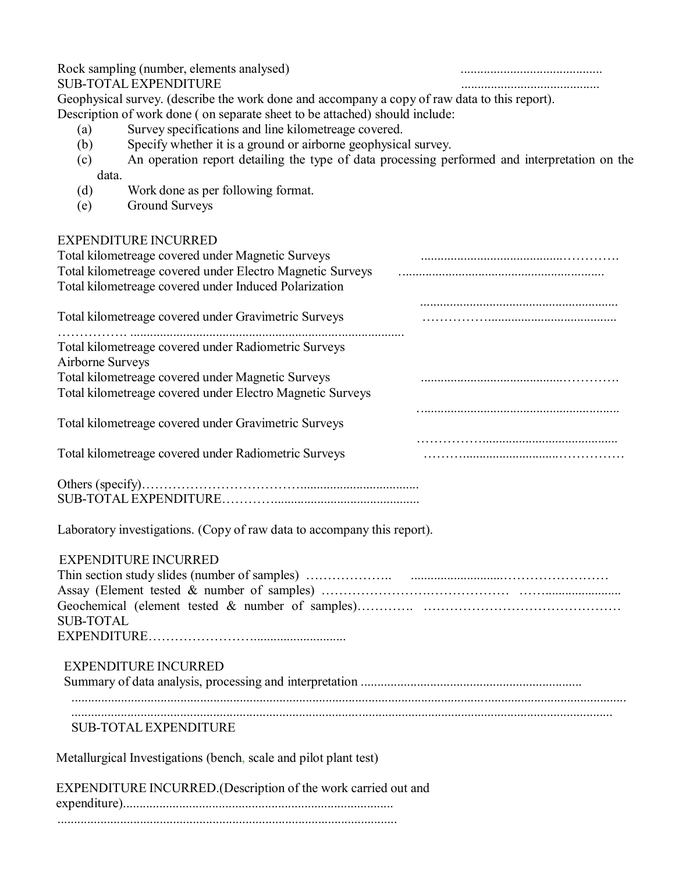| Rock sampling (number, elements analysed)<br><b>SUB-TOTAL EXPENDITURE</b>                                                                                                                                                                                                                                            |  |
|----------------------------------------------------------------------------------------------------------------------------------------------------------------------------------------------------------------------------------------------------------------------------------------------------------------------|--|
| Geophysical survey. (describe the work done and accompany a copy of raw data to this report).<br>Description of work done (on separate sheet to be attached) should include:<br>Survey specifications and line kilometreage covered.<br>(a)<br>Specify whether it is a ground or airborne geophysical survey.<br>(b) |  |
| An operation report detailing the type of data processing performed and interpretation on the<br>(c)<br>data.                                                                                                                                                                                                        |  |
| (d)<br>Work done as per following format.<br><b>Ground Surveys</b><br>(e)                                                                                                                                                                                                                                            |  |
| <b>EXPENDITURE INCURRED</b>                                                                                                                                                                                                                                                                                          |  |
| Total kilometreage covered under Magnetic Surveys<br>Total kilometreage covered under Electro Magnetic Surveys<br>Total kilometreage covered under Induced Polarization                                                                                                                                              |  |
| Total kilometreage covered under Gravimetric Surveys                                                                                                                                                                                                                                                                 |  |
| Total kilometreage covered under Radiometric Surveys<br>Airborne Surveys                                                                                                                                                                                                                                             |  |
| Total kilometreage covered under Magnetic Surveys<br>Total kilometreage covered under Electro Magnetic Surveys                                                                                                                                                                                                       |  |
| Total kilometreage covered under Gravimetric Surveys                                                                                                                                                                                                                                                                 |  |
| Total kilometreage covered under Radiometric Surveys                                                                                                                                                                                                                                                                 |  |
|                                                                                                                                                                                                                                                                                                                      |  |
| Laboratory investigations. (Copy of raw data to accompany this report).                                                                                                                                                                                                                                              |  |
| <b>EXPENDITURE INCURRED</b><br><b>SUB-TOTAL</b>                                                                                                                                                                                                                                                                      |  |
| <b>EXPENDITURE INCURRED</b>                                                                                                                                                                                                                                                                                          |  |
| <b>SUB-TOTAL EXPENDITURE</b>                                                                                                                                                                                                                                                                                         |  |
| Metallurgical Investigations (bench, scale and pilot plant test)                                                                                                                                                                                                                                                     |  |
| EXPENDITURE INCURRED.(Description of the work carried out and                                                                                                                                                                                                                                                        |  |